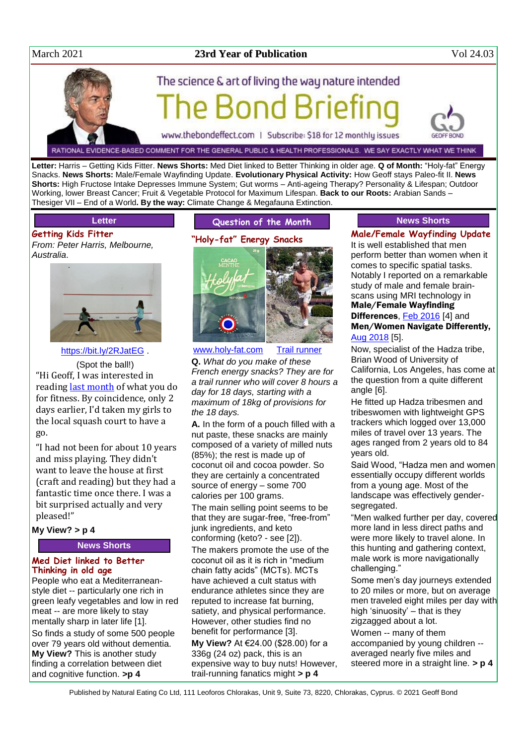

Snacks. **News Shorts:** Male/Female Wayfinding Update. **Evolutionary Physical Activity:** How Geoff stays Paleo-fit II. **News Shorts:** High Fructose Intake Depresses Immune System; Gut worms – Anti-ageing Therapy? Personality & Lifespan; Outdoor Working, lower Breast Cancer; Fruit & Vegetable Protocol for Maximum Lifespan. **Back to our Roots:** Arabian Sands – Thesiger VII – End of a World**. By the way:** Climate Change & Megafauna Extinction.

# **Letter**

**Getting Kids Fitter** *From: Peter Harris, Melbourne, Australia*.



<https://bit.ly/2RJatEG>

(Spot the ball!) "Hi Geoff, I was interested in reading [last month](http://www.naturaleater.com/newsletter-archive/NEWS-2021/NEWS-2021-02.pdf) of what you do for fitness. By coincidence, only 2 days earlier, I'd taken my girls to the local squash court to have a go.

"I had not been for about 10 years and miss playing. They didn't want to leave the house at first (craft and reading) but they had a fantastic time once there. I was a bit surprised actually and very pleased!"

## **My View? > p 4**

**News Shorts**

### **Med Diet linked to Better Thinking in old age**

People who eat a Mediterraneanstyle diet -- particularly one rich in green leafy vegetables and low in red meat -- are more likely to stay mentally sharp in later life [1]. So finds a study of some 500 people over 79 years old without dementia. **My View?** This is another study finding a correlation between diet and cognitive function. **>p 4**

# **Question of the Month**



[www.holy-fat.com](http://www.holy-fat.com/) [Trail runner](https://bit.ly/3vc9VFL)

**Q.** *What do you make of these French energy snacks? They are for a trail runner who will cover 8 hours a day for 18 days, starting with a maximum of 18kg of provisions for the 18 days.*

**A.** In the form of a pouch filled with a nut paste, these snacks are mainly composed of a variety of milled nuts (85%); the rest is made up of coconut oil and cocoa powder. So they are certainly a concentrated source of energy – some 700 calories per 100 grams.

The main selling point seems to be that they are sugar-free, "free-from" junk ingredients, and keto conforming (keto? - see [2]).

The makers promote the use of the coconut oil as it is rich in "medium chain fatty acids" (MCTs). MCTs have achieved a cult status with endurance athletes since they are reputed to increase fat burning, satiety, and physical performance. However, other studies find no benefit for performance [3].

**My View?** At €24.00 (\$28.00) for a 336g (24 oz) pack, this is an expensive way to buy nuts! However, trail-running fanatics might **> p 4**

# **News Shorts**

# **Male/Female Wayfinding Update**

It is well established that men perform better than women when it comes to specific spatial tasks. Notably I reported on a remarkable study of male and female brainscans using MRI technology in Male/Female Wayfinding

# Differences, [Feb 2016](http://www.naturaleater.com/newsletter-archive/NEWS-2016/NEWS-2016-02.pdf) [4] and Men/Women Navigate Differently, [Aug 2018](http://www.naturaleater.com/newsletter-archive/NEWS-2018/NEWS-2018-08.pdf) [5].

Now, specialist of the Hadza tribe, Brian Wood of University of California, Los Angeles, has come at the question from a quite different angle [6].

He fitted up Hadza tribesmen and tribeswomen with lightweight GPS trackers which logged over 13,000 miles of travel over 13 years. The ages ranged from 2 years old to 84 years old.

Said Wood, "Hadza men and women essentially occupy different worlds from a young age. Most of the landscape was effectively gendersegregated.

"Men walked further per day, covered more land in less direct paths and were more likely to travel alone. In this hunting and gathering context, male work is more navigationally challenging."

Some men's day journeys extended to 20 miles or more, but on average men traveled eight miles per day with high 'sinuosity' – that is they zigzagged about a lot.

Women -- many of them accompanied by young children - averaged nearly five miles and steered more in a straight line. **> p 4**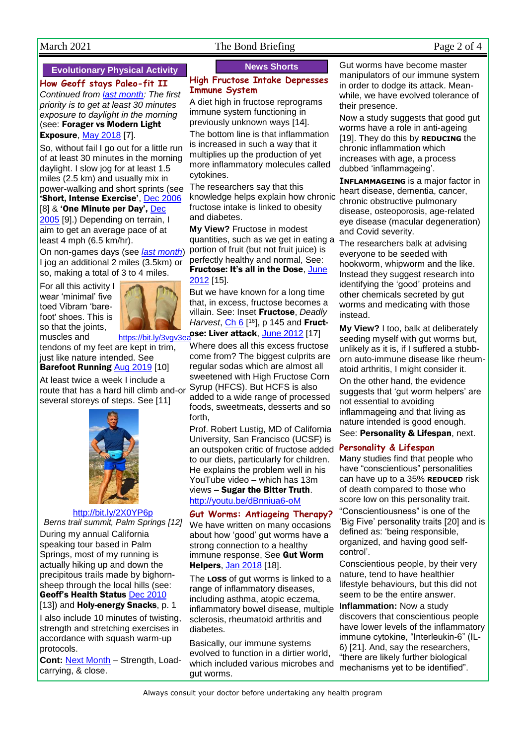# March 2021 The Bond Briefing Page 2 of 4

# **Evolutionary Physical Activity**

**How Geoff stays Paleo-fit II** *Continued from [last month:](http://www.naturaleater.com/newsletter-archive/NEWS-2021/NEWS-2021-02.pdf) The first priority is to get at least 30 minutes exposure to daylight in the morning* (see: Forager vs Modern Light **Exposure, [May 2018](http://www.naturaleater.com/newsletter-archive/NEWS-2018/NEWS-2018-05.pdf) [7].** 

So, without fail I go out for a little run of at least 30 minutes in the morning daylight. I slow jog for at least 1.5 miles (2.5 km) and usually mix in power-walking and short sprints (see 'Short, Intense Exercise', [Dec 2006](http://www.naturaleater.com/newsletter-archive/NEWS-2006/NEWS-2006-12.pdf) [8] & 'One Minute per Day', Dec [2005](http://www.naturaleater.com/newsletter-archive/NEWS-2005/NEWS-2005-12.pdf) [9].) Depending on terrain, I aim to get an average pace of at least 4 mph (6.5 km/hr).

On non-games days (see *[last month](http://www.naturaleater.com/newsletter-archive/NEWS-2021/NEWS-2021-02.pdf)*) I jog an additional 2 miles (3.5km) or so, making a total of 3 to 4 miles.

For all this activity I wear 'minimal' five toed Vibram 'barefoot' shoes. This is so that the joints,



muscles and https://bit.ly/3vgv3e tendons of my feet are kept in trim, just like nature intended. See

# Barefoot Running [Aug 2019](http://www.naturaleater.com/NEWSLETTER-ARCHIVE/NEWS-2019/news-2019-08.pdf) [10]

At least twice a week I include a route that has a hard hill climb and-or several storeys of steps. See [11]



## <http://bit.ly/2X0YP6p>

*Berns trail summit, Palm Springs [12]* During my annual California speaking tour based in Palm Springs, most of my running is actually hiking up and down the precipitous trails made by bighornsheep through the local hills (see: Geoff's Health Status [Dec 2010](http://www.naturaleater.com/newsletter-archive/NEWS-2010/NEWS-2010-12.pdf)

[13]) and **Holy-energy Snacks**, p. 1 I also include 10 minutes of twisting, strength and stretching exercises in accordance with squash warm-up protocols.

**Cont:** [Next Month](http://www.naturaleater.com/newsletter-archive/NEWS-2021/NEWS-2021-04.pdf) – Strength, Loadcarrying, & close.

# **News Shorts**

### **High Fructose Intake Depresses Immune System**

A diet high in fructose reprograms immune system functioning in previously unknown ways [14].

The bottom line is that inflammation is increased in such a way that it multiplies up the production of yet more inflammatory molecules called cytokines.

The researchers say that this knowledge helps explain how chronic fructose intake is linked to obesity and diabetes.

**My View?** Fructose in modest quantities, such as we get in eating a portion of fruit (but not fruit juice) is perfectly healthy and normal, See: Fructose: It's all in the Dose, [June](http://www.naturaleater.com/newsletter-archive/NEWS-2012/NEWS-2012-06.pdf)  [2012](http://www.naturaleater.com/newsletter-archive/NEWS-2012/NEWS-2012-06.pdf) [15].

But we have known for a long time that, in excess, fructose becomes a villain. See: Inset Fructose, *Deadly Harvest*, *Ch 6*<sup>[16]</sup>, p 145 and **Fruct**[o](https://bit.ly/3vgv3ea)se: Liver attack, **[June 2012](http://www.naturaleater.com/newsletter-archive/NEWS-2012/NEWS-2012-06.pdf)** [17]

Where does all this excess fructose come from? The biggest culprits are regular sodas which are almost all sweetened with High Fructose Corn Syrup (HFCS). But HCFS is also added to a wide range of processed foods, sweetmeats, desserts and so forth,

Prof. Robert Lustig, MD of California University, San Francisco (UCSF) is an outspoken critic of fructose added **Personality & Lifespan** to our diets, particularly for children. He explains the problem well in his YouTube video – which has 13m views – Sugar the Bitter Truth. <http://youtu.be/dBnniua6-oM>

**Gut Worms: Antiageing Therapy?** We have written on many occasions about how 'good' gut worms have a strong connection to a healthy immune response, See Gut Worm Helpers, [Jan 2018](http://www.naturaleater.com/newsletter-archive/NEWS-2018/NEWS-2018-01.pdf) [18].

The **LOSS** of gut worms is linked to a range of inflammatory diseases, including asthma, atopic eczema, inflammatory bowel disease, multiple sclerosis, rheumatoid arthritis and diabetes.

Basically, our immune systems evolved to function in a dirtier world, which included various microbes and gut worms.

Gut worms have become master manipulators of our immune system in order to dodge its attack. Meanwhile, we have evolved tolerance of their presence.

Now a study suggests that good gut worms have a role in anti-ageing [19]. They do this by **REDUCING** the chronic inflammation which increases with age, a process dubbed 'inflammageing'.

**INFLAMMAGEING** is a major factor in heart disease, dementia, cancer, chronic obstructive pulmonary disease, osteoporosis, age-related eye disease (macular degeneration) and Covid severity.

The researchers balk at advising everyone to be seeded with hookworm, whipworm and the like. Instead they suggest research into identifying the 'good' proteins and other chemicals secreted by gut worms and medicating with those instead.

**My View?** I too, balk at deliberately seeding myself with gut worms but, unlikely as it is, if I suffered a stubborn auto-immune disease like rheumatoid arthritis, I might consider it. On the other hand, the evidence suggests that 'gut worm helpers' are not essential to avoiding inflammageing and that living as nature intended is good enough. See: Personality & Lifespan, next.

Many studies find that people who have "conscientious" personalities can have up to a 35% **REDUCED** risk of death compared to those who score low on this personality trait. "Conscientiousness" is one of the 'Big Five' personality traits [20] and is defined as: 'being responsible, organized, and having good selfcontrol'.

Conscientious people, by their very nature, tend to have healthier lifestyle behaviours, but this did not seem to be the entire answer.

**Inflammation:** Now a study discovers that conscientious people have lower levels of the inflammatory immune cytokine, "Interleukin-6" (IL-6) [21]. And, say the researchers, "there are likely further biological mechanisms yet to be identified".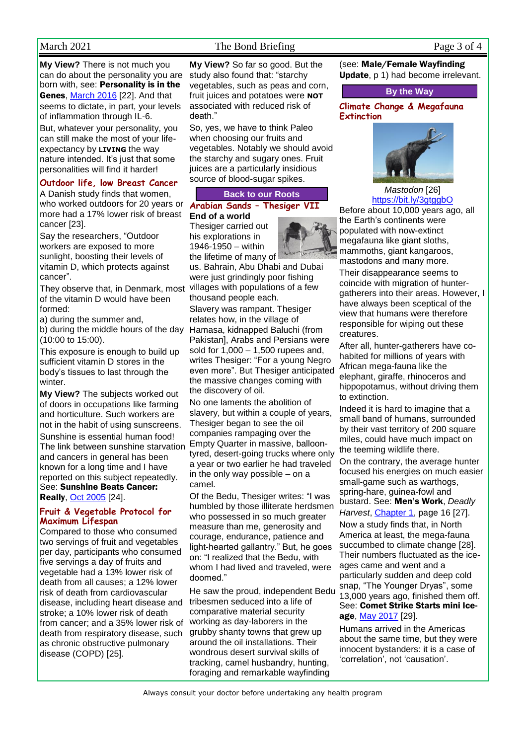# March 2021 The Bond Briefing Page 3 of 4

**My View?** There is not much you can do about the personality you are born with, see: Personality is in the Genes, [March 2016](http://www.naturaleater.com/newsletter-archive/NEWS-2016/NEWS-2016-03.pdf) [22]. And that seems to dictate, in part, your levels of inflammation through IL-6.

But, whatever your personality, you can still make the most of your lifeexpectancy by **LIVING** the way nature intended. It's just that some personalities will find it harder!

## **Outdoor life, low Breast Cancer**

A Danish study finds that women, who worked outdoors for 20 years or more had a 17% lower risk of breast cancer [23].

Say the researchers, "Outdoor workers are exposed to more sunlight, boosting their levels of vitamin D, which protects against cancer".

They observe that, in Denmark, most of the vitamin D would have been formed:

a) during the summer and,

b) during the middle hours of the day (10:00 to 15:00).

This exposure is enough to build up sufficient vitamin D stores in the body's tissues to last through the winter.

**My View?** The subjects worked out of doors in occupations like farming and horticulture. Such workers are not in the habit of using sunscreens.

Sunshine is essential human food! The link between sunshine starvation and cancers in general has been known for a long time and I have reported on this subject repeatedly. See: Sunshine Beats Cancer: Really, [Oct 2005](http://www.naturaleater.com/newsletter-archive/NEWS-2005/NEWS-2005-10.pdf) [24].

## **Fruit & Vegetable Protocol for Maximum Lifespan**

Compared to those who consumed two servings of fruit and vegetables per day, participants who consumed five servings a day of fruits and vegetable had a 13% lower risk of death from all causes; a 12% lower risk of death from cardiovascular disease, including heart disease and stroke; a 10% lower risk of death from cancer; and a 35% lower risk of death from respiratory disease, such as chronic obstructive pulmonary disease (COPD) [25].

**My View?** So far so good. But the study also found that: "starchy vegetables, such as peas and corn, fruit juices and potatoes were **NOT**  associated with reduced risk of death."

So, yes, we have to think Paleo when choosing our fruits and vegetables. Notably we should avoid the starchy and sugary ones. Fruit juices are a particularly insidious source of blood-sugar spikes.

## **Back to our Roots**

#### **Arabian Sands – Thesiger VII End of a world**

Thesiger carried out his explorations in 1946-1950 – within the lifetime of many of

us. Bahrain, Abu Dhabi and Dubai were just grindingly poor fishing villages with populations of a few thousand people each.

Slavery was rampant. Thesiger relates how, in the village of Hamasa, kidnapped Baluchi (from Pakistan], Arabs and Persians were sold for 1,000 – 1,500 rupees and, writes Thesiger: "For a young Negro even more". But Thesiger anticipated the massive changes coming with the discovery of oil.

No one laments the abolition of slavery, but within a couple of years, Thesiger began to see the oil companies rampaging over the Empty Quarter in massive, balloontyred, desert-going trucks where only a year or two earlier he had traveled in the only way possible – on a camel.

Of the Bedu, Thesiger writes: "I was humbled by those illiterate herdsmen who possessed in so much greater measure than me, generosity and courage, endurance, patience and light-hearted gallantry." But, he goes on: "I realized that the Bedu, with whom I had lived and traveled, were doomed."

He saw the proud, independent Bedu tribesmen seduced into a life of comparative material security working as day-laborers in the grubby shanty towns that grew up around the oil installations. Their wondrous desert survival skills of tracking, camel husbandry, hunting, foraging and remarkable wayfinding

(see: Male/Female Wayfinding Update, p 1) had become irrelevant.

### **By the Way**

#### **Climate Change & Megafauna Extinction**



*Mastodon* [26] <https://bit.ly/3gtggbO>

Before about 10,000 years ago, all the Earth's continents were populated with now-extinct megafauna like giant sloths, mammoths, giant kangaroos, mastodons and many more.

Their disappearance seems to coincide with migration of huntergatherers into their areas. However, I have always been sceptical of the view that humans were therefore responsible for wiping out these creatures.

After all, hunter-gatherers have cohabited for millions of years with African mega-fauna like the elephant, giraffe, rhinoceros and hippopotamus, without driving them to extinction.

Indeed it is hard to imagine that a small band of humans, surrounded by their vast territory of 200 square miles, could have much impact on the teeming wildlife there.

On the contrary, the average hunter focused his energies on much easier small-game such as warthogs, spring-hare, guinea-fowl and bustard. See: Men's Work, *Deadly Harvest*, [Chapter 1,](http://bit.ly/DH-1) page 16 [27]. Now a study finds that, in North America at least, the mega-fauna succumbed to climate change [28]. Their numbers fluctuated as the iceages came and went and a particularly sudden and deep cold snap, "The Younger Dryas", some 13,000 years ago, finished them off. See: Comet Strike Starts mini Iceage, [May 2017](http://www.naturaleater.com/newsletter-archive/NEWS-2017/NEWS-2017-05.pdf) [29].

Humans arrived in the Americas about the same time, but they were innocent bystanders: it is a case of 'correlation', not 'causation'.